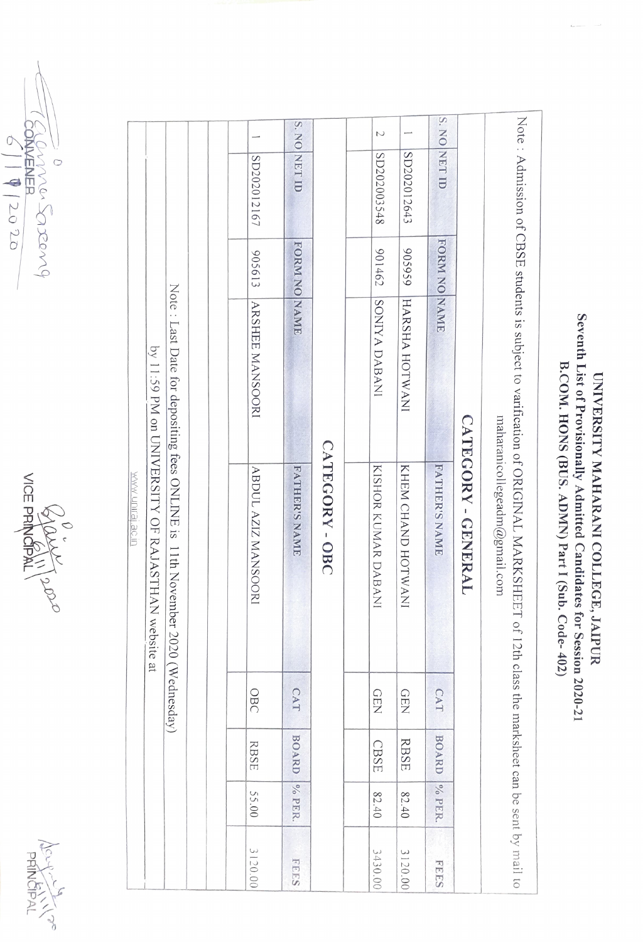





| by 11:59 PM on UNIVERSITY OF RAJASTHAN website at<br><b>WWW UNITE SEE</b> | Note: Last Date for depositing fees ONLINE is 11th November 2020 (Wednesday) |  | SD202012167<br>905613<br>ARSHEE MANSOORI<br>ABDUL AZIZ MANSOORI | S. NO NET ID<br>FORM NO NAME<br><b>FATHER'S NAME</b> | CATEGORY-OBC | $\cup$<br>SD202003548<br>201462<br>SONIYA DABANI<br>KISHOR KUMAR DABANI | SD202012643<br>656506<br>HARSHA HOTWANI<br>KHEM CHAND HOTWANI | S. NO NET ID<br>FORM NO NAME<br><b>FATHER'S NAME</b> | CATEGORY - GENERAL | Note : Admission of CBSE students is subject to varification of ORIGINAL MARKSHEET of 12th class the marksheet can be sent by mail to<br>maharanicollegeadm@gmail.com |
|---------------------------------------------------------------------------|------------------------------------------------------------------------------|--|-----------------------------------------------------------------|------------------------------------------------------|--------------|-------------------------------------------------------------------------|---------------------------------------------------------------|------------------------------------------------------|--------------------|-----------------------------------------------------------------------------------------------------------------------------------------------------------------------|
|                                                                           |                                                                              |  | OBC                                                             | CAT                                                  |              | <b>GEN</b>                                                              | <b>GEN</b>                                                    | CAT                                                  |                    |                                                                                                                                                                       |
|                                                                           |                                                                              |  | <b>RBSE</b>                                                     | <b>BOARD</b>                                         |              | CBSE                                                                    | <b>RBSE</b>                                                   | <b>BOARD</b>                                         |                    |                                                                                                                                                                       |
|                                                                           |                                                                              |  | 55.00                                                           | % PER.                                               |              | 82.40                                                                   | 82.40                                                         | % PER.                                               |                    |                                                                                                                                                                       |
|                                                                           |                                                                              |  | 3120.00                                                         | <b>FEES</b>                                          |              | 3430.00                                                                 | 3120.00                                                       | <b>FEES</b>                                          |                    |                                                                                                                                                                       |

Seventh List of Provisionally Admitted Candidates for Session 2020-21 B.COM. HONS (BUS. ADMN) Part I (Sub. Code-402) UNIVERSITY MAHARANI COLLEGE, JAIPUR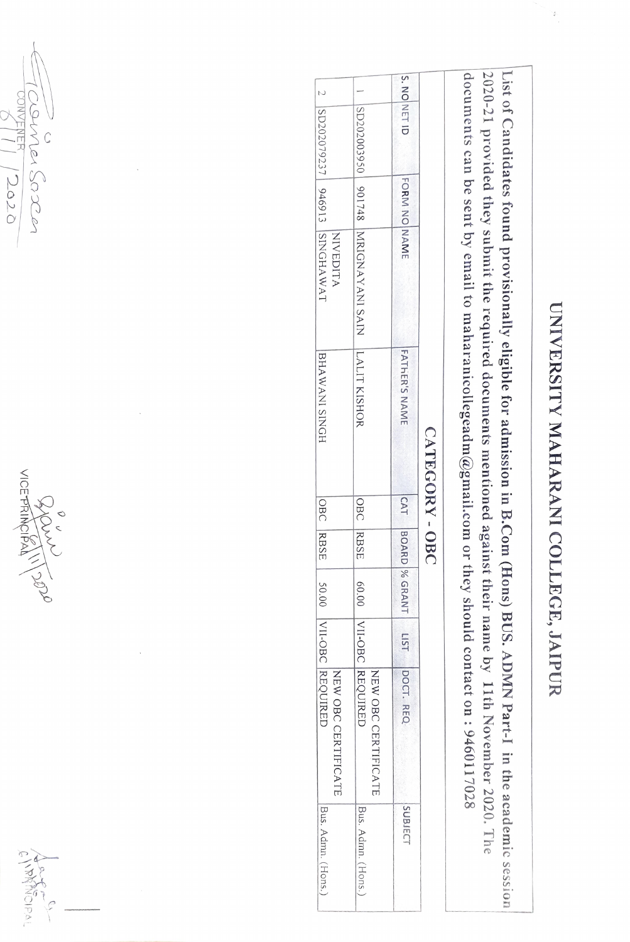

List of Candidates found provisionall $\blacktriangleleft$ eligible  $\vec{c}$ r admission in B.Com (Hons) BUS. ADMN Part-I in the academ $\tilde{\circ}$ *session*  2020-21 provided they submit the 1·equired documents mentioned a<br>Pt ainst their name  $\tilde{\mathcal{S}}$ 11th November 2020. The documents can be sent by email  $\tilde{\circ}$ maharanicollegeadm $\boldsymbol{a}$ gmail.com or they should contact on : 9460117028

|  |              |              |                                  | CATEGORY-OBC  |            |                |        |                                                   | I LIST DOCT. REQ   |
|--|--------------|--------------|----------------------------------|---------------|------------|----------------|--------|---------------------------------------------------|--------------------|
|  | S. NO NET ID | FORM NO NAME |                                  | FATHER'S NAME | <b>CAT</b> | <b>BOARD</b> % | GRANT, |                                                   | <b>SUBJECT</b>     |
|  |              |              | SD202020100 901748 NANAYANI SAIN | ILALIT KISHOR |            | OBC RBSE       |        | 60.00   VII-OBC   REQUIRED<br>NEW OBC CERTIFICATE | Bus. Admn. (Hons.) |
|  |              |              | NIVEDITA                         |               |            |                |        | NEW OBC CERTIFICATE                               |                    |
|  |              |              | 2  SD2079237   946913  SINGHAWAT | BHAWANI SINGH | OBC        | RBSE           | 50.00  | VII-OBC REQUIRED                                  | Bus. Admn. (Hons.) |

~~~o~ *CO* **N**<br>M3<br>*M <sup>1</sup>R;*  $\frac{1}{2000}$